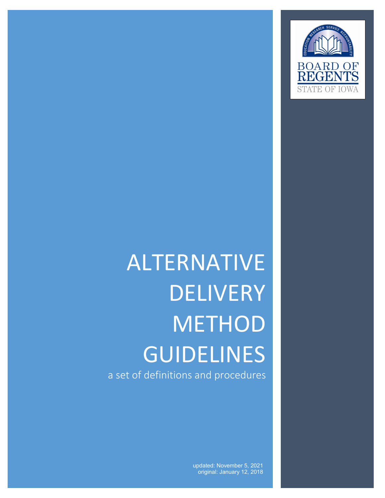

# $\overline{\phantom{a}}$ ALTERNATIVE DELIVERY **METHOD** GUIDELINES a set of definitions and procedures

updated: November 5, 2021 original: January 12, 2018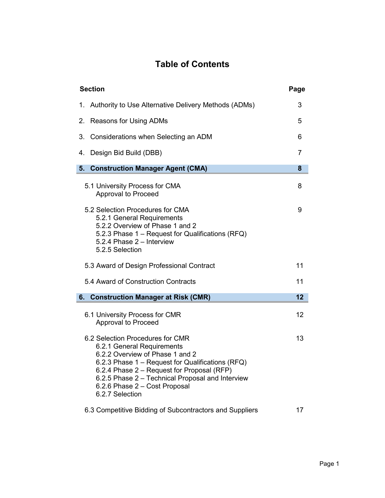# **Table of Contents**

| <b>Section</b>                      |                                                                                                                                                                                                                                                                                                             |    |
|-------------------------------------|-------------------------------------------------------------------------------------------------------------------------------------------------------------------------------------------------------------------------------------------------------------------------------------------------------------|----|
|                                     | 1. Authority to Use Alternative Delivery Methods (ADMs)                                                                                                                                                                                                                                                     | 3  |
| 2.                                  | <b>Reasons for Using ADMs</b>                                                                                                                                                                                                                                                                               | 5  |
|                                     | 3. Considerations when Selecting an ADM                                                                                                                                                                                                                                                                     | 6  |
| 4.                                  | Design Bid Build (DBB)                                                                                                                                                                                                                                                                                      | 7  |
| 5.                                  | <b>Construction Manager Agent (CMA)</b>                                                                                                                                                                                                                                                                     | 8  |
|                                     | 5.1 University Process for CMA<br><b>Approval to Proceed</b>                                                                                                                                                                                                                                                | 8  |
|                                     | 5.2 Selection Procedures for CMA<br>5.2.1 General Requirements<br>5.2.2 Overview of Phase 1 and 2<br>5.2.3 Phase 1 - Request for Qualifications (RFQ)<br>5.2.4 Phase 2 - Interview<br>5.2.5 Selection                                                                                                       | 9  |
|                                     | 5.3 Award of Design Professional Contract                                                                                                                                                                                                                                                                   | 11 |
| 5.4 Award of Construction Contracts |                                                                                                                                                                                                                                                                                                             |    |
|                                     | 6. Construction Manager at Risk (CMR)                                                                                                                                                                                                                                                                       | 12 |
|                                     | 6.1 University Process for CMR<br><b>Approval to Proceed</b>                                                                                                                                                                                                                                                | 12 |
|                                     | 6.2 Selection Procedures for CMR<br>6.2.1 General Requirements<br>6.2.2 Overview of Phase 1 and 2<br>6.2.3 Phase 1 - Request for Qualifications (RFQ)<br>6.2.4 Phase 2 - Request for Proposal (RFP)<br>6.2.5 Phase 2 - Technical Proposal and Interview<br>6.2.6 Phase 2 - Cost Proposal<br>6.2.7 Selection | 13 |
|                                     | 6.3 Competitive Bidding of Subcontractors and Suppliers                                                                                                                                                                                                                                                     | 17 |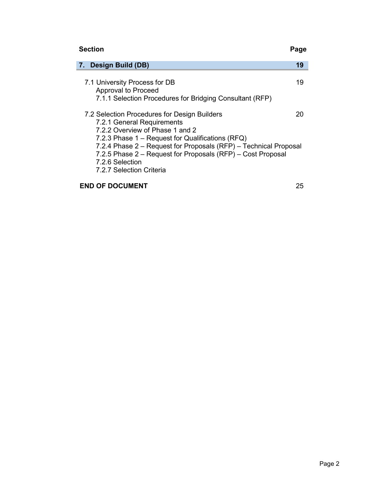# **Section Page**

| <b>Design Build (DB)</b><br>7.                                                                                                                                                                                                     | 19 |  |  |
|------------------------------------------------------------------------------------------------------------------------------------------------------------------------------------------------------------------------------------|----|--|--|
| 7.1 University Process for DB<br><b>Approval to Proceed</b><br>7.1.1 Selection Procedures for Bridging Consultant (RFP)                                                                                                            | 19 |  |  |
| 7.2 Selection Procedures for Design Builders<br>7.2.1 General Requirements<br>7.2.2 Overview of Phase 1 and 2                                                                                                                      | 20 |  |  |
| 7.2.3 Phase 1 – Request for Qualifications (RFQ)<br>7.2.4 Phase 2 – Request for Proposals (RFP) – Technical Proposal<br>7.2.5 Phase 2 – Request for Proposals (RFP) – Cost Proposal<br>7.2.6 Selection<br>7.2.7 Selection Criteria |    |  |  |
| <b>END OF DOCUMENT</b><br>25                                                                                                                                                                                                       |    |  |  |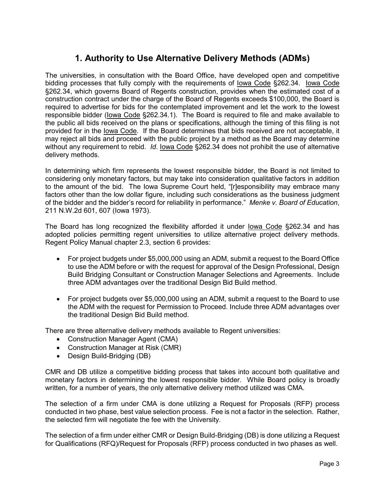# **1. Authority to Use Alternative Delivery Methods (ADMs)**

The universities, in consultation with the Board Office, have developed open and competitive bidding processes that fully comply with the requirements of Iowa Code §262.34. Iowa Code §262.34, which governs Board of Regents construction, provides when the estimated cost of a construction contract under the charge of the Board of Regents exceeds \$100,000, the Board is required to advertise for bids for the contemplated improvement and let the work to the lowest responsible bidder (Iowa Code §262.34.1). The Board is required to file and make available to the public all bids received on the plans or specifications, although the timing of this filing is not provided for in the Iowa Code. If the Board determines that bids received are not acceptable, it may reject all bids and proceed with the public project by a method as the Board may determine without any requirement to rebid. *Id*. Iowa Code §262.34 does not prohibit the use of alternative delivery methods.

In determining which firm represents the lowest responsible bidder, the Board is not limited to considering only monetary factors, but may take into consideration qualitative factors in addition to the amount of the bid. The Iowa Supreme Court held, "[r]esponsibility may embrace many factors other than the low dollar figure, including such considerations as the business judgment of the bidder and the bidder's record for reliability in performance." *Menke v. Board of Education*, 211 N.W.2d 601, 607 (Iowa 1973).

The Board has long recognized the flexibility afforded it under Iowa Code §262.34 and has adopted policies permitting regent universities to utilize alternative project delivery methods. Regent Policy Manual chapter 2.3, section 6 provides:

- For project budgets under \$5,000,000 using an ADM, submit a request to the Board Office to use the ADM before or with the request for approval of the Design Professional, Design Build Bridging Consultant or Construction Manager Selections and Agreements. Include three ADM advantages over the traditional Design Bid Build method.
- For project budgets over \$5,000,000 using an ADM, submit a request to the Board to use the ADM with the request for Permission to Proceed. Include three ADM advantages over the traditional Design Bid Build method.

There are three alternative delivery methods available to Regent universities:

- Construction Manager Agent (CMA)
- Construction Manager at Risk (CMR)
- Design Build-Bridging (DB)

CMR and DB utilize a competitive bidding process that takes into account both qualitative and monetary factors in determining the lowest responsible bidder. While Board policy is broadly written, for a number of years, the only alternative delivery method utilized was CMA.

The selection of a firm under CMA is done utilizing a Request for Proposals (RFP) process conducted in two phase, best value selection process. Fee is not a factor in the selection. Rather, the selected firm will negotiate the fee with the University.

The selection of a firm under either CMR or Design Build-Bridging (DB) is done utilizing a Request for Qualifications (RFQ)/Request for Proposals (RFP) process conducted in two phases as well.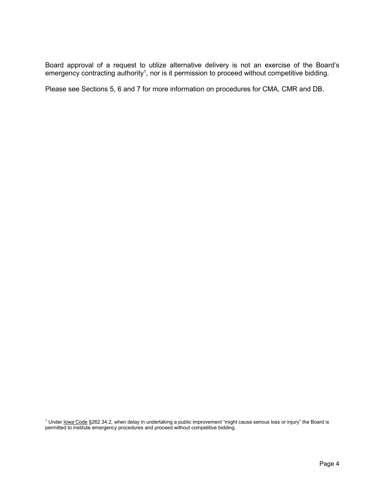Board approval of a request to utilize alternative delivery is not an exercise of the Board's emergency contracting authority<sup>1</sup>, nor is it permission to proceed without competitive bidding.

Please see Sections 5, 6 and 7 for more information on procedures for CMA, CMR and DB.

<sup>1</sup> Under <u>Iowa Code</u> §262.34.2, when delay in undertaking a public improvement "might cause serious loss or injury" the Board is permitted to institute emergency procedures and proceed without competitive bidding.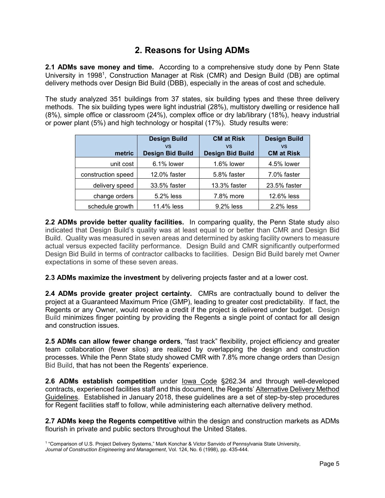# **2. Reasons for Using ADMs**

**2.1 ADMs save money and time.** According to a comprehensive study done by Penn State University in 1998<sup>1</sup>, Construction Manager at Risk (CMR) and Design Build (DB) are optimal delivery methods over Design Bid Build (DBB), especially in the areas of cost and schedule.

The study analyzed 351 buildings from 37 states, six building types and these three delivery methods. The six building types were light industrial (28%), multistory dwelling or residence hall (8%), simple office or classroom (24%), complex office or dry lab/library (18%), heavy industrial or power plant (5%) and high technology or hospital (17%). Study results were:

|                    | <b>Design Build</b>     | <b>CM at Risk</b>       | <b>Design Build</b> |
|--------------------|-------------------------|-------------------------|---------------------|
|                    | <b>VS</b>               | <b>VS</b>               | <b>VS</b>           |
| metric             | <b>Design Bid Build</b> | <b>Design Bid Build</b> | <b>CM at Risk</b>   |
| unit cost          | 6.1% lower              | 1.6% lower              | 4.5% lower          |
| construction speed | 12.0% faster            | 5.8% faster             | 7.0% faster         |
| delivery speed     | 33.5% faster            | 13.3% faster            | 23.5% faster        |
| change orders      | 5.2% less               | 7.8% more               | 12.6% less          |
| schedule growth    | 11.4% less              | 9.2% less               | 2.2% less           |

**2.2 ADMs provide better quality facilities.** In comparing quality, the Penn State study also indicated that Design Build's quality was at least equal to or better than CMR and Design Bid Build. Quality was measured in seven areas and determined by asking facility owners to measure actual versus expected facility performance. Design Build and CMR significantly outperformed Design Bid Build in terms of contractor callbacks to facilities. Design Bid Build barely met Owner expectations in some of these seven areas.

**2.3 ADMs maximize the investment** by delivering projects faster and at a lower cost.

**2.4 ADMs provide greater project certainty.** CMRs are contractually bound to deliver the project at a Guaranteed Maximum Price (GMP), leading to greater cost predictability. If fact, the Regents or any Owner, would receive a credit if the project is delivered under budget. Design Build minimizes finger pointing by providing the Regents a single point of contact for all design and construction issues.

**2.5 ADMs can allow fewer change orders**, "fast track" flexibility, project efficiency and greater team collaboration (fewer silos) are realized by overlapping the design and construction processes. While the Penn State study showed CMR with 7.8% more change orders than Design Bid Build, that has not been the Regents' experience.

**2.6 ADMs establish competition** under Iowa Code §262.34 and through well-developed contracts, experienced facilities staff and this document, the Regents' Alternative Delivery Method Guidelines. Established in January 2018, these guidelines are a set of step-by-step procedures for Regent facilities staff to follow, while administering each alternative delivery method.

**2.7 ADMs keep the Regents competitive** within the design and construction markets as ADMs flourish in private and public sectors throughout the United States.

<sup>1</sup> "Comparison of U.S. Project Delivery Systems," Mark Konchar & Victor Sanvido of Pennsylvania State University, *Journal of Construction Engineering and Management*, Vol. 124, No. 6 (1998), pp. 435-444.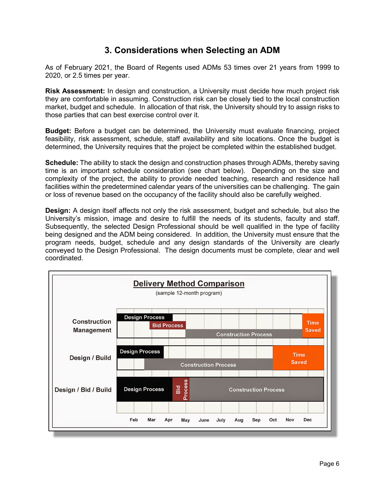# **3. Considerations when Selecting an ADM**

As of February 2021, the Board of Regents used ADMs 53 times over 21 years from 1999 to 2020, or 2.5 times per year.

**Risk Assessment:** In design and construction, a University must decide how much project risk they are comfortable in assuming. Construction risk can be closely tied to the local construction market, budget and schedule. In allocation of that risk, the University should try to assign risks to those parties that can best exercise control over it.

**Budget:** Before a budget can be determined, the University must evaluate financing, project feasibility, risk assessment, schedule, staff availability and site locations. Once the budget is determined, the University requires that the project be completed within the established budget.

**Schedule:** The ability to stack the design and construction phases through ADMs, thereby saving time is an important schedule consideration (see chart below). Depending on the size and complexity of the project, the ability to provide needed teaching, research and residence hall facilities within the predetermined calendar years of the universities can be challenging. The gain or loss of revenue based on the occupancy of the facility should also be carefully weighed.

**Design:** A design itself affects not only the risk assessment, budget and schedule, but also the University's mission, image and desire to fulfill the needs of its students, faculty and staff. Subsequently, the selected Design Professional should be well qualified in the type of facility being designed and the ADM being considered. In addition, the University must ensure that the program needs, budget, schedule and any design standards of the University are clearly conveyed to the Design Professional. The design documents must be complete, clear and well coordinated.

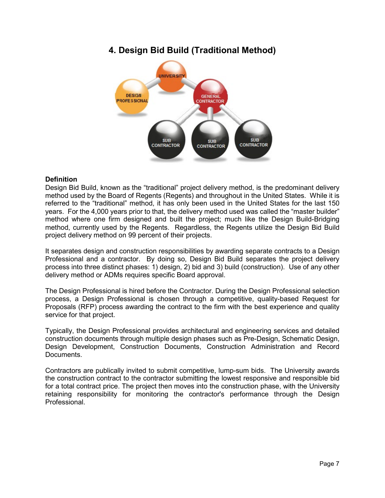# **4. Design Bid Build (Traditional Method)**



# **Definition**

Design Bid Build, known as the "traditional" project delivery method, is the predominant delivery method used by the Board of Regents (Regents) and throughout in the United States. While it is referred to the "traditional" method, it has only been used in the United States for the last 150 years. For the 4,000 years prior to that, the delivery method used was called the "master builder" method where one firm designed and built the project; much like the Design Build-Bridging method, currently used by the Regents. Regardless, the Regents utilize the Design Bid Build project delivery method on 99 percent of their projects.

It separates design and construction responsibilities by awarding separate contracts to a Design Professional and a contractor. By doing so, Design Bid Build separates the project delivery process into three distinct phases: 1) design, 2) bid and 3) build (construction). Use of any other delivery method or ADMs requires specific Board approval.

The Design Professional is hired before the Contractor. During the Design Professional selection process, a Design Professional is chosen through a competitive, quality-based Request for Proposals (RFP) process awarding the contract to the firm with the best experience and quality service for that project.

Typically, the Design Professional provides architectural and engineering services and detailed construction documents through multiple design phases such as Pre-Design, Schematic Design, Design Development, Construction Documents, Construction Administration and Record Documents.

Contractors are publically invited to submit competitive, lump-sum bids. The University awards the construction contract to the contractor submitting the lowest responsive and responsible bid for a total contract price. The project then moves into the construction phase, with the University retaining responsibility for monitoring the contractor's performance through the Design Professional.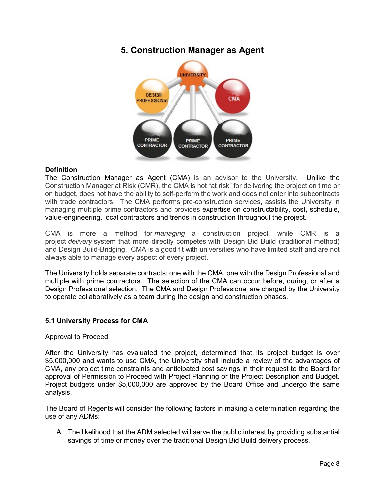# **5. Construction Manager as Agent**



# **Definition**

The Construction Manager as Agent (CMA) is an advisor to the University. Unlike the Construction Manager at Risk (CMR), the CMA is not "at risk" for delivering the project on time or on budget, does not have the ability to self-perform the work and does not enter into subcontracts with trade contractors. The CMA performs pre-construction services, assists the University in managing multiple prime contractors and provides expertise on constructability, cost, schedule, value-engineering, local contractors and trends in construction throughout the project.

CMA is more a method for *managing* a construction project, while CMR is a project *delivery* system that more directly competes with Design Bid Build (traditional method) and Design Build-Bridging. CMA is a good fit with universities who have limited staff and are not always able to manage every aspect of every project.

The University holds separate contracts; one with the CMA, one with the Design Professional and multiple with prime contractors. The selection of the CMA can occur before, during, or after a Design Professional selection. The CMA and Design Professional are charged by the University to operate collaboratively as a team during the design and construction phases.

# **5.1 University Process for CMA**

# Approval to Proceed

After the University has evaluated the project, determined that its project budget is over \$5,000,000 and wants to use CMA, the University shall include a review of the advantages of CMA, any project time constraints and anticipated cost savings in their request to the Board for approval of Permission to Proceed with Project Planning or the Project Description and Budget. Project budgets under \$5,000,000 are approved by the Board Office and undergo the same analysis.

The Board of Regents will consider the following factors in making a determination regarding the use of any ADMs:

A. The likelihood that the ADM selected will serve the public interest by providing substantial savings of time or money over the traditional Design Bid Build delivery process.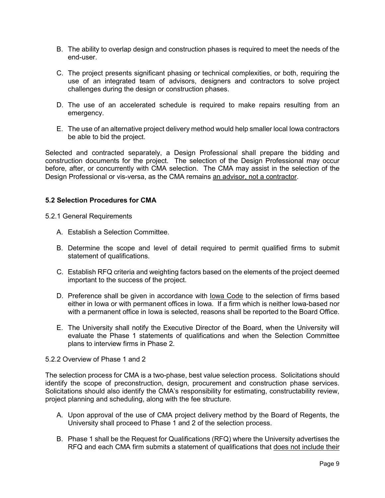- B. The ability to overlap design and construction phases is required to meet the needs of the end-user.
- C. The project presents significant phasing or technical complexities, or both, requiring the use of an integrated team of advisors, designers and contractors to solve project challenges during the design or construction phases.
- D. The use of an accelerated schedule is required to make repairs resulting from an emergency.
- E. The use of an alternative project delivery method would help smaller local Iowa contractors be able to bid the project.

Selected and contracted separately, a Design Professional shall prepare the bidding and construction documents for the project. The selection of the Design Professional may occur before, after, or concurrently with CMA selection. The CMA may assist in the selection of the Design Professional or vis-versa, as the CMA remains an advisor, not a contractor.

#### **5.2 Selection Procedures for CMA**

5.2.1 General Requirements

- A. Establish a Selection Committee.
- B. Determine the scope and level of detail required to permit qualified firms to submit statement of qualifications.
- C. Establish RFQ criteria and weighting factors based on the elements of the project deemed important to the success of the project.
- D. Preference shall be given in accordance with Iowa Code to the selection of firms based either in Iowa or with permanent offices in Iowa. If a firm which is neither Iowa-based nor with a permanent office in Iowa is selected, reasons shall be reported to the Board Office.
- E. The University shall notify the Executive Director of the Board, when the University will evaluate the Phase 1 statements of qualifications and when the Selection Committee plans to interview firms in Phase 2.

#### 5.2.2 Overview of Phase 1 and 2

The selection process for CMA is a two-phase, best value selection process. Solicitations should identify the scope of preconstruction, design, procurement and construction phase services. Solicitations should also identify the CMA's responsibility for estimating, constructability review, project planning and scheduling, along with the fee structure.

- A. Upon approval of the use of CMA project delivery method by the Board of Regents, the University shall proceed to Phase 1 and 2 of the selection process.
- B. Phase 1 shall be the Request for Qualifications (RFQ) where the University advertises the RFQ and each CMA firm submits a statement of qualifications that does not include their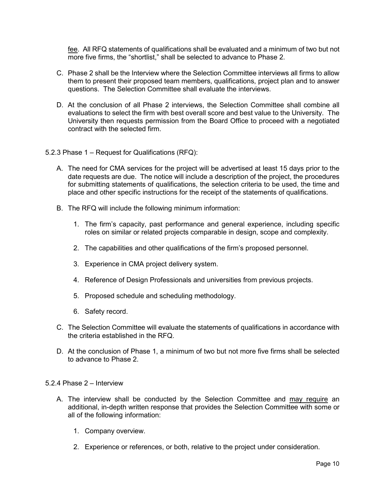fee. All RFQ statements of qualifications shall be evaluated and a minimum of two but not more five firms, the "shortlist," shall be selected to advance to Phase 2.

- C. Phase 2 shall be the Interview where the Selection Committee interviews all firms to allow them to present their proposed team members, qualifications, project plan and to answer questions. The Selection Committee shall evaluate the interviews.
- D. At the conclusion of all Phase 2 interviews, the Selection Committee shall combine all evaluations to select the firm with best overall score and best value to the University. The University then requests permission from the Board Office to proceed with a negotiated contract with the selected firm.
- 5.2.3 Phase 1 Request for Qualifications (RFQ):
	- A. The need for CMA services for the project will be advertised at least 15 days prior to the date requests are due. The notice will include a description of the project, the procedures for submitting statements of qualifications, the selection criteria to be used, the time and place and other specific instructions for the receipt of the statements of qualifications.
	- B. The RFQ will include the following minimum information:
		- 1. The firm's capacity, past performance and general experience, including specific roles on similar or related projects comparable in design, scope and complexity.
		- 2. The capabilities and other qualifications of the firm's proposed personnel.
		- 3. Experience in CMA project delivery system.
		- 4. Reference of Design Professionals and universities from previous projects.
		- 5. Proposed schedule and scheduling methodology.
		- 6. Safety record.
	- C. The Selection Committee will evaluate the statements of qualifications in accordance with the criteria established in the RFQ.
	- D. At the conclusion of Phase 1, a minimum of two but not more five firms shall be selected to advance to Phase 2.
- 5.2.4 Phase 2 Interview
	- A. The interview shall be conducted by the Selection Committee and may require an additional, in-depth written response that provides the Selection Committee with some or all of the following information:
		- 1. Company overview.
		- 2. Experience or references, or both, relative to the project under consideration.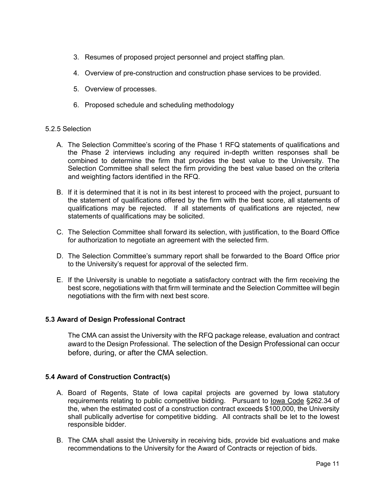- 3. Resumes of proposed project personnel and project staffing plan.
- 4. Overview of pre-construction and construction phase services to be provided.
- 5. Overview of processes.
- 6. Proposed schedule and scheduling methodology

# 5.2.5 Selection

- A. The Selection Committee's scoring of the Phase 1 RFQ statements of qualifications and the Phase 2 interviews including any required in-depth written responses shall be combined to determine the firm that provides the best value to the University. The Selection Committee shall select the firm providing the best value based on the criteria and weighting factors identified in the RFQ.
- B. If it is determined that it is not in its best interest to proceed with the project, pursuant to the statement of qualifications offered by the firm with the best score, all statements of qualifications may be rejected. If all statements of qualifications are rejected, new statements of qualifications may be solicited.
- C. The Selection Committee shall forward its selection, with justification, to the Board Office for authorization to negotiate an agreement with the selected firm.
- D. The Selection Committee's summary report shall be forwarded to the Board Office prior to the University's request for approval of the selected firm.
- E. If the University is unable to negotiate a satisfactory contract with the firm receiving the best score, negotiations with that firm will terminate and the Selection Committee will begin negotiations with the firm with next best score.

# **5.3 Award of Design Professional Contract**

The CMA can assist the University with the RFQ package release, evaluation and contract award to the Design Professional. The selection of the Design Professional can occur before, during, or after the CMA selection.

# **5.4 Award of Construction Contract(s)**

- A. Board of Regents, State of Iowa capital projects are governed by Iowa statutory requirements relating to public competitive bidding. Pursuant to lowa Code §262.34 of the, when the estimated cost of a construction contract exceeds \$100,000, the University shall publically advertise for competitive bidding. All contracts shall be let to the lowest responsible bidder.
- B. The CMA shall assist the University in receiving bids, provide bid evaluations and make recommendations to the University for the Award of Contracts or rejection of bids.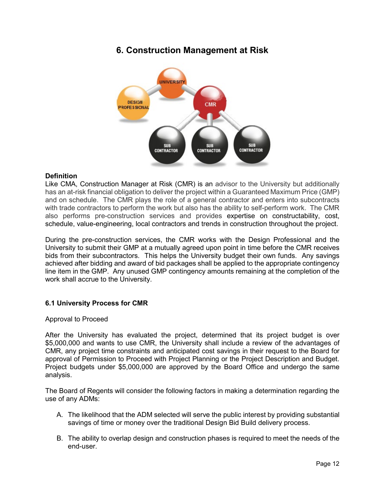# **6. Construction Management at Risk**



#### **Definition**

Like CMA, Construction Manager at Risk (CMR) is an advisor to the University but additionally has an at-risk financial obligation to deliver the project within a Guaranteed Maximum Price (GMP) and on schedule. The CMR plays the role of a general contractor and enters into subcontracts with trade contractors to perform the work but also has the ability to self-perform work. The CMR also performs pre-construction services and provides expertise on constructability, cost, schedule, value-engineering, local contractors and trends in construction throughout the project.

During the pre-construction services, the CMR works with the Design Professional and the University to submit their GMP at a mutually agreed upon point in time before the CMR receives bids from their subcontractors. This helps the University budget their own funds. Any savings achieved after bidding and award of bid packages shall be applied to the appropriate contingency line item in the GMP. Any unused GMP contingency amounts remaining at the completion of the work shall accrue to the University.

# **6.1 University Process for CMR**

#### Approval to Proceed

After the University has evaluated the project, determined that its project budget is over \$5,000,000 and wants to use CMR, the University shall include a review of the advantages of CMR, any project time constraints and anticipated cost savings in their request to the Board for approval of Permission to Proceed with Project Planning or the Project Description and Budget. Project budgets under \$5,000,000 are approved by the Board Office and undergo the same analysis.

The Board of Regents will consider the following factors in making a determination regarding the use of any ADMs:

- A. The likelihood that the ADM selected will serve the public interest by providing substantial savings of time or money over the traditional Design Bid Build delivery process.
- B. The ability to overlap design and construction phases is required to meet the needs of the end-user.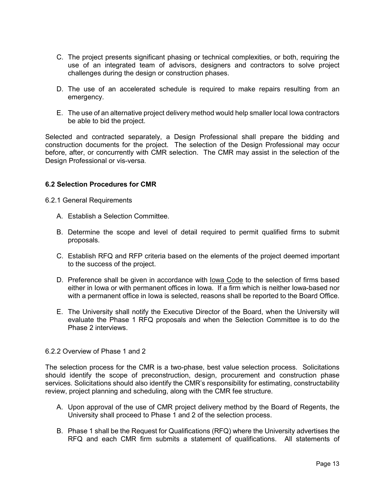- C. The project presents significant phasing or technical complexities, or both, requiring the use of an integrated team of advisors, designers and contractors to solve project challenges during the design or construction phases.
- D. The use of an accelerated schedule is required to make repairs resulting from an emergency.
- E. The use of an alternative project delivery method would help smaller local Iowa contractors be able to bid the project.

Selected and contracted separately, a Design Professional shall prepare the bidding and construction documents for the project. The selection of the Design Professional may occur before, after, or concurrently with CMR selection. The CMR may assist in the selection of the Design Professional or vis-versa.

#### **6.2 Selection Procedures for CMR**

6.2.1 General Requirements

- A. Establish a Selection Committee.
- B. Determine the scope and level of detail required to permit qualified firms to submit proposals.
- C. Establish RFQ and RFP criteria based on the elements of the project deemed important to the success of the project.
- D. Preference shall be given in accordance with Iowa Code to the selection of firms based either in Iowa or with permanent offices in Iowa. If a firm which is neither Iowa-based nor with a permanent office in Iowa is selected, reasons shall be reported to the Board Office.
- E. The University shall notify the Executive Director of the Board, when the University will evaluate the Phase 1 RFQ proposals and when the Selection Committee is to do the Phase 2 interviews.

#### 6.2.2 Overview of Phase 1 and 2

The selection process for the CMR is a two-phase, best value selection process. Solicitations should identify the scope of preconstruction, design, procurement and construction phase services. Solicitations should also identify the CMR's responsibility for estimating, constructability review, project planning and scheduling, along with the CMR fee structure.

- A. Upon approval of the use of CMR project delivery method by the Board of Regents, the University shall proceed to Phase 1 and 2 of the selection process.
- B. Phase 1 shall be the Request for Qualifications (RFQ) where the University advertises the RFQ and each CMR firm submits a statement of qualifications. All statements of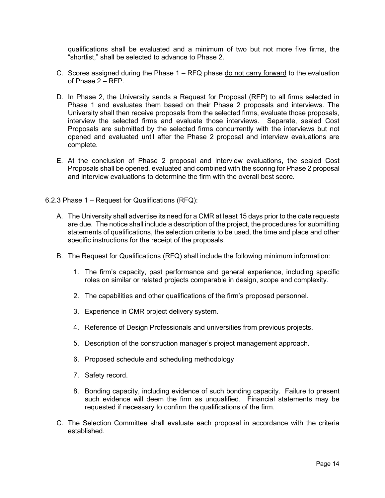qualifications shall be evaluated and a minimum of two but not more five firms, the "shortlist," shall be selected to advance to Phase 2.

- C. Scores assigned during the Phase 1 RFQ phase do not carry forward to the evaluation of Phase 2 – RFP.
- D. In Phase 2, the University sends a Request for Proposal (RFP) to all firms selected in Phase 1 and evaluates them based on their Phase 2 proposals and interviews. The University shall then receive proposals from the selected firms, evaluate those proposals, interview the selected firms and evaluate those interviews. Separate, sealed Cost Proposals are submitted by the selected firms concurrently with the interviews but not opened and evaluated until after the Phase 2 proposal and interview evaluations are complete.
- E. At the conclusion of Phase 2 proposal and interview evaluations, the sealed Cost Proposals shall be opened, evaluated and combined with the scoring for Phase 2 proposal and interview evaluations to determine the firm with the overall best score.
- 6.2.3 Phase 1 Request for Qualifications (RFQ):
	- A. The University shall advertise its need for a CMR at least 15 days prior to the date requests are due. The notice shall include a description of the project, the procedures for submitting statements of qualifications, the selection criteria to be used, the time and place and other specific instructions for the receipt of the proposals.
	- B. The Request for Qualifications (RFQ) shall include the following minimum information:
		- 1. The firm's capacity, past performance and general experience, including specific roles on similar or related projects comparable in design, scope and complexity.
		- 2. The capabilities and other qualifications of the firm's proposed personnel.
		- 3. Experience in CMR project delivery system.
		- 4. Reference of Design Professionals and universities from previous projects.
		- 5. Description of the construction manager's project management approach.
		- 6. Proposed schedule and scheduling methodology
		- 7. Safety record.
		- 8. Bonding capacity, including evidence of such bonding capacity. Failure to present such evidence will deem the firm as unqualified. Financial statements may be requested if necessary to confirm the qualifications of the firm.
	- C. The Selection Committee shall evaluate each proposal in accordance with the criteria established.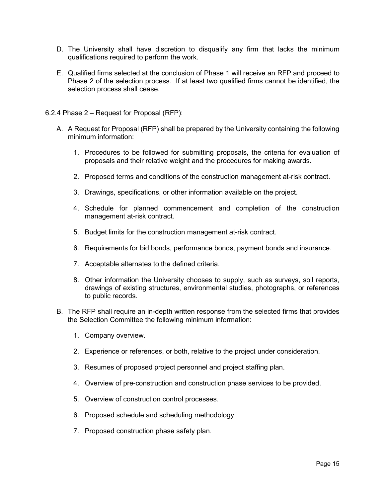- D. The University shall have discretion to disqualify any firm that lacks the minimum qualifications required to perform the work.
- E. Qualified firms selected at the conclusion of Phase 1 will receive an RFP and proceed to Phase 2 of the selection process. If at least two qualified firms cannot be identified, the selection process shall cease.
- 6.2.4 Phase 2 Request for Proposal (RFP):
	- A. A Request for Proposal (RFP) shall be prepared by the University containing the following minimum information:
		- 1. Procedures to be followed for submitting proposals, the criteria for evaluation of proposals and their relative weight and the procedures for making awards.
		- 2. Proposed terms and conditions of the construction management at-risk contract.
		- 3. Drawings, specifications, or other information available on the project.
		- 4. Schedule for planned commencement and completion of the construction management at-risk contract.
		- 5. Budget limits for the construction management at-risk contract.
		- 6. Requirements for bid bonds, performance bonds, payment bonds and insurance.
		- 7. Acceptable alternates to the defined criteria.
		- 8. Other information the University chooses to supply, such as surveys, soil reports, drawings of existing structures, environmental studies, photographs, or references to public records.
	- B. The RFP shall require an in-depth written response from the selected firms that provides the Selection Committee the following minimum information:
		- 1. Company overview.
		- 2. Experience or references, or both, relative to the project under consideration.
		- 3. Resumes of proposed project personnel and project staffing plan.
		- 4. Overview of pre-construction and construction phase services to be provided.
		- 5. Overview of construction control processes.
		- 6. Proposed schedule and scheduling methodology
		- 7. Proposed construction phase safety plan.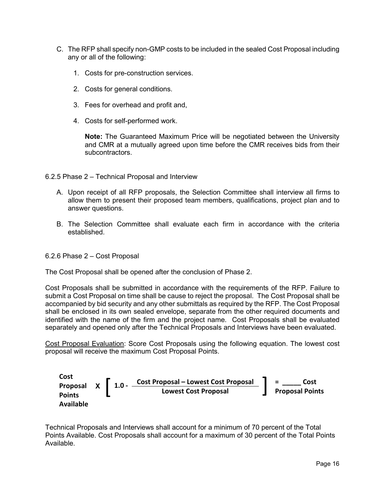- C. The RFP shall specify non-GMP costs to be included in the sealed Cost Proposal including any or all of the following:
	- 1. Costs for pre-construction services.
	- 2. Costs for general conditions.
	- 3. Fees for overhead and profit and,
	- 4. Costs for self-performed work.

**Note:** The Guaranteed Maximum Price will be negotiated between the University and CMR at a mutually agreed upon time before the CMR receives bids from their subcontractors.

- 6.2.5 Phase 2 Technical Proposal and Interview
	- A. Upon receipt of all RFP proposals, the Selection Committee shall interview all firms to allow them to present their proposed team members, qualifications, project plan and to answer questions.
	- B. The Selection Committee shall evaluate each firm in accordance with the criteria established.

#### 6.2.6 Phase 2 – Cost Proposal

The Cost Proposal shall be opened after the conclusion of Phase 2.

Cost Proposals shall be submitted in accordance with the requirements of the RFP. Failure to submit a Cost Proposal on time shall be cause to reject the proposal. The Cost Proposal shall be accompanied by bid security and any other submittals as required by the RFP. The Cost Proposal shall be enclosed in its own sealed envelope, separate from the other required documents and identified with the name of the firm and the project name. Cost Proposals shall be evaluated separately and opened only after the Technical Proposals and Interviews have been evaluated.

Cost Proposal Evaluation: Score Cost Proposals using the following equation. The lowest cost proposal will receive the maximum Cost Proposal Points.



Technical Proposals and Interviews shall account for a minimum of 70 percent of the Total Points Available. Cost Proposals shall account for a maximum of 30 percent of the Total Points Available.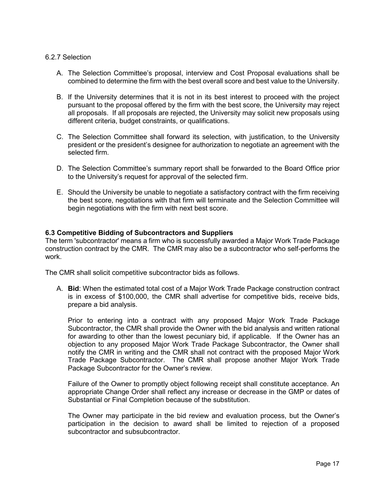#### 6.2.7 Selection

- A. The Selection Committee's proposal, interview and Cost Proposal evaluations shall be combined to determine the firm with the best overall score and best value to the University.
- B. If the University determines that it is not in its best interest to proceed with the project pursuant to the proposal offered by the firm with the best score, the University may reject all proposals. If all proposals are rejected, the University may solicit new proposals using different criteria, budget constraints, or qualifications.
- C. The Selection Committee shall forward its selection, with justification, to the University president or the president's designee for authorization to negotiate an agreement with the selected firm.
- D. The Selection Committee's summary report shall be forwarded to the Board Office prior to the University's request for approval of the selected firm.
- E. Should the University be unable to negotiate a satisfactory contract with the firm receiving the best score, negotiations with that firm will terminate and the Selection Committee will begin negotiations with the firm with next best score.

#### **6.3 Competitive Bidding of Subcontractors and Suppliers**

The term 'subcontractor' means a firm who is successfully awarded a Major Work Trade Package construction contract by the CMR. The CMR may also be a subcontractor who self-performs the work.

The CMR shall solicit competitive subcontractor bids as follows.

A. **Bid**: When the estimated total cost of a Major Work Trade Package construction contract is in excess of \$100,000, the CMR shall advertise for competitive bids, receive bids, prepare a bid analysis.

Prior to entering into a contract with any proposed Major Work Trade Package Subcontractor, the CMR shall provide the Owner with the bid analysis and written rational for awarding to other than the lowest pecuniary bid, if applicable. If the Owner has an objection to any proposed Major Work Trade Package Subcontractor, the Owner shall notify the CMR in writing and the CMR shall not contract with the proposed Major Work Trade Package Subcontractor. The CMR shall propose another Major Work Trade Package Subcontractor for the Owner's review.

Failure of the Owner to promptly object following receipt shall constitute acceptance. An appropriate Change Order shall reflect any increase or decrease in the GMP or dates of Substantial or Final Completion because of the substitution.

The Owner may participate in the bid review and evaluation process, but the Owner's participation in the decision to award shall be limited to rejection of a proposed subcontractor and subsubcontractor.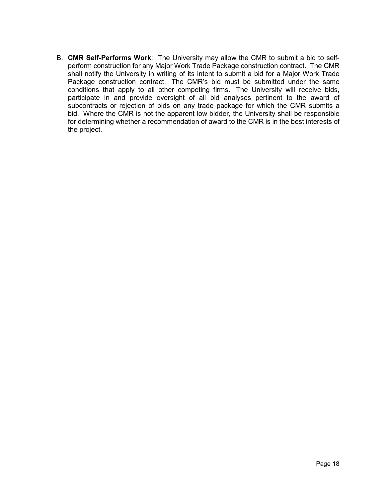B. **CMR Self-Performs Work**: The University may allow the CMR to submit a bid to selfperform construction for any Major Work Trade Package construction contract. The CMR shall notify the University in writing of its intent to submit a bid for a Major Work Trade Package construction contract. The CMR's bid must be submitted under the same conditions that apply to all other competing firms. The University will receive bids, participate in and provide oversight of all bid analyses pertinent to the award of subcontracts or rejection of bids on any trade package for which the CMR submits a bid. Where the CMR is not the apparent low bidder, the University shall be responsible for determining whether a recommendation of award to the CMR is in the best interests of the project.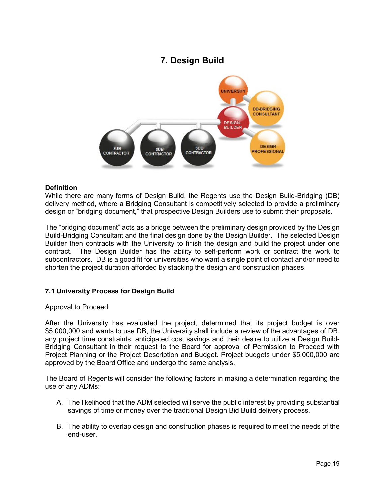# **7. Design Build**



#### **Definition**

While there are many forms of Design Build, the Regents use the Design Build-Bridging (DB) delivery method, where a Bridging Consultant is competitively selected to provide a preliminary design or "bridging document," that prospective Design Builders use to submit their proposals.

The "bridging document" acts as a bridge between the preliminary design provided by the Design Build-Bridging Consultant and the final design done by the Design Builder. The selected Design Builder then contracts with the University to finish the design and build the project under one contract. The Design Builder has the ability to self-perform work or contract the work to subcontractors. DB is a good fit for universities who want a single point of contact and/or need to shorten the project duration afforded by stacking the design and construction phases.

# **7.1 University Process for Design Build**

#### Approval to Proceed

After the University has evaluated the project, determined that its project budget is over \$5,000,000 and wants to use DB, the University shall include a review of the advantages of DB, any project time constraints, anticipated cost savings and their desire to utilize a Design Build-Bridging Consultant in their request to the Board for approval of Permission to Proceed with Project Planning or the Project Description and Budget. Project budgets under \$5,000,000 are approved by the Board Office and undergo the same analysis.

The Board of Regents will consider the following factors in making a determination regarding the use of any ADMs:

- A. The likelihood that the ADM selected will serve the public interest by providing substantial savings of time or money over the traditional Design Bid Build delivery process.
- B. The ability to overlap design and construction phases is required to meet the needs of the end-user.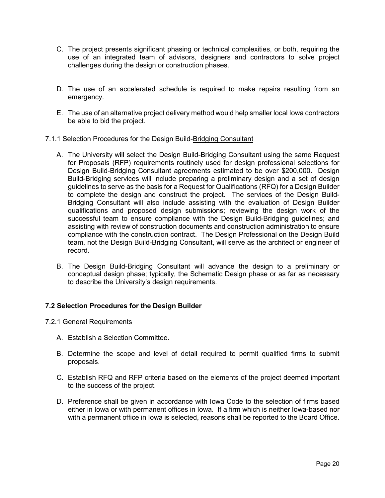- C. The project presents significant phasing or technical complexities, or both, requiring the use of an integrated team of advisors, designers and contractors to solve project challenges during the design or construction phases.
- D. The use of an accelerated schedule is required to make repairs resulting from an emergency.
- E. The use of an alternative project delivery method would help smaller local Iowa contractors be able to bid the project.
- 7.1.1 Selection Procedures for the Design Build-Bridging Consultant
	- A. The University will select the Design Build-Bridging Consultant using the same Request for Proposals (RFP) requirements routinely used for design professional selections for Design Build-Bridging Consultant agreements estimated to be over \$200,000. Design Build-Bridging services will include preparing a preliminary design and a set of design guidelines to serve as the basis for a Request for Qualifications (RFQ) for a Design Builder to complete the design and construct the project. The services of the Design Build-Bridging Consultant will also include assisting with the evaluation of Design Builder qualifications and proposed design submissions; reviewing the design work of the successful team to ensure compliance with the Design Build-Bridging guidelines; and assisting with review of construction documents and construction administration to ensure compliance with the construction contract. The Design Professional on the Design Build team, not the Design Build-Bridging Consultant, will serve as the architect or engineer of record.
	- B. The Design Build-Bridging Consultant will advance the design to a preliminary or conceptual design phase; typically, the Schematic Design phase or as far as necessary to describe the University's design requirements.

# **7.2 Selection Procedures for the Design Builder**

- 7.2.1 General Requirements
	- A. Establish a Selection Committee.
	- B. Determine the scope and level of detail required to permit qualified firms to submit proposals.
	- C. Establish RFQ and RFP criteria based on the elements of the project deemed important to the success of the project.
	- D. Preference shall be given in accordance with lowa Code to the selection of firms based either in Iowa or with permanent offices in Iowa. If a firm which is neither Iowa-based nor with a permanent office in Iowa is selected, reasons shall be reported to the Board Office.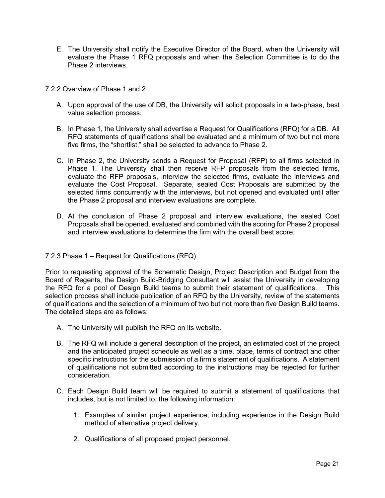- E. The University shall notify the Executive Director of the Board, when the University will evaluate the Phase 1 RFQ proposals and when the Selection Committee is to do the Phase 2 interviews.
- 7.2.2 Overview of Phase 1 and 2
	- A. Upon approval of the use of DB, the University will solicit proposals in a two-phase, best value selection process.
	- B. In Phase 1, the University shall advertise a Request for Qualifications (RFQ) for a DB. All RFQ statements of qualifications shall be evaluated and a minimum of two but not more five firms, the "shortlist," shall be selected to advance to Phase 2.
	- C. In Phase 2, the University sends a Request for Proposal (RFP) to all firms selected in Phase 1. The University shall then receive RFP proposals from the selected firms, evaluate the RFP proposals, interview the selected firms, evaluate the interviews and evaluate the Cost Proposal. Separate, sealed Cost Proposals are submitted by the selected firms concurrently with the interviews, but not opened and evaluated until after the Phase 2 proposal and interview evaluations are complete.
	- D. At the conclusion of Phase 2 proposal and interview evaluations, the sealed Cost Proposals shall be opened, evaluated and combined with the scoring for Phase 2 proposal and interview evaluations to determine the firm with the overall best score.

# 7.2.3 Phase 1 – Request for Qualifications (RFQ)

Prior to requesting approval of the Schematic Design, Project Description and Budget from the Board of Regents, the Design Build-Bridging Consultant will assist the University in developing the RFQ for a pool of Design Build teams to submit their statement of qualifications. This selection process shall include publication of an RFQ by the University, review of the statements of qualifications and the selection of a minimum of two but not more than five Design Build teams. The detailed steps are as follows:

- A. The University will publish the RFQ on its website.
- B. The RFQ will include a general description of the project, an estimated cost of the project and the anticipated project schedule as well as a time, place, terms of contract and other specific instructions for the submission of a firm's statement of qualifications. A statement of qualifications not submitted according to the instructions may be rejected for further consideration.
- C. Each Design Build team will be required to submit a statement of qualifications that includes, but is not limited to, the following information:
	- 1. Examples of similar project experience, including experience in the Design Build method of alternative project delivery.
	- 2. Qualifications of all proposed project personnel.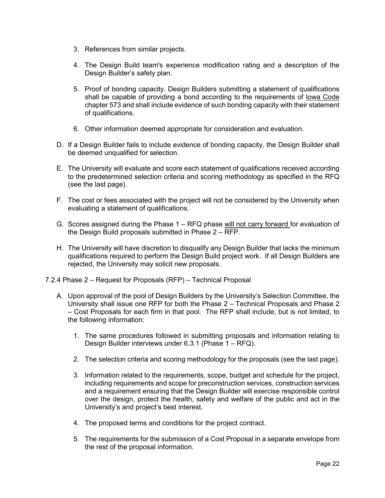- 3. References from similar projects.
- 4. The Design Build team's experience modification rating and a description of the Design Builder's safety plan.
- 5. Proof of bonding capacity. Design Builders submitting a statement of qualifications shall be capable of providing a bond according to the requirements of Iowa Code chapter 573 and shall include evidence of such bonding capacity with their statement of qualifications.
- 6. Other information deemed appropriate for consideration and evaluation.
- D. If a Design Builder fails to include evidence of bonding capacity, the Design Builder shall be deemed unqualified for selection.
- E. The University will evaluate and score each statement of qualifications received according to the predetermined selection criteria and scoring methodology as specified in the RFQ (see the last page).
- F. The cost or fees associated with the project will not be considered by the University when evaluating a statement of qualifications.
- G. Scores assigned during the Phase 1 RFQ phase will not carry forward for evaluation of the Design Build proposals submitted in Phase  $2 - \overline{RFP}$ .
- H. The University will have discretion to disqualify any Design Builder that lacks the minimum qualifications required to perform the Design Build project work. If all Design Builders are rejected, the University may solicit new proposals.
- 7.2.4 Phase 2 Request for Proposals (RFP) Technical Proposal
	- A. Upon approval of the pool of Design Builders by the University's Selection Committee, the University shall issue one RFP for both the Phase 2 – Technical Proposals and Phase 2 – Cost Proposals for each firm in that pool. The RFP shall include, but is not limited, to the following information:
		- 1. The same procedures followed in submitting proposals and information relating to Design Builder interviews under 6.3.1 (Phase 1 – RFQ).
		- 2. The selection criteria and scoring methodology for the proposals (see the last page).
		- 3. Information related to the requirements, scope, budget and schedule for the project, including requirements and scope for preconstruction services, construction services and a requirement ensuring that the Design Builder will exercise responsible control over the design, protect the health, safety and welfare of the public and act in the University's and project's best interest.
		- 4. The proposed terms and conditions for the project contract.
		- 5. The requirements for the submission of a Cost Proposal in a separate envelope from the rest of the proposal information.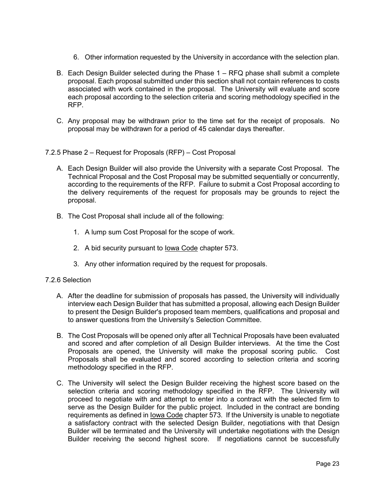- 6. Other information requested by the University in accordance with the selection plan.
- B. Each Design Builder selected during the Phase 1 RFQ phase shall submit a complete proposal. Each proposal submitted under this section shall not contain references to costs associated with work contained in the proposal. The University will evaluate and score each proposal according to the selection criteria and scoring methodology specified in the RFP.
- C. Any proposal may be withdrawn prior to the time set for the receipt of proposals. No proposal may be withdrawn for a period of 45 calendar days thereafter.
- 7.2.5 Phase 2 Request for Proposals (RFP) Cost Proposal
	- A. Each Design Builder will also provide the University with a separate Cost Proposal. The Technical Proposal and the Cost Proposal may be submitted sequentially or concurrently, according to the requirements of the RFP. Failure to submit a Cost Proposal according to the delivery requirements of the request for proposals may be grounds to reject the proposal.
	- B. The Cost Proposal shall include all of the following:
		- 1. A lump sum Cost Proposal for the scope of work.
		- 2. A bid security pursuant to Iowa Code chapter 573.
		- 3. Any other information required by the request for proposals.

#### 7.2.6 Selection

- A. After the deadline for submission of proposals has passed, the University will individually interview each Design Builder that has submitted a proposal, allowing each Design Builder to present the Design Builder's proposed team members, qualifications and proposal and to answer questions from the University's Selection Committee.
- B. The Cost Proposals will be opened only after all Technical Proposals have been evaluated and scored and after completion of all Design Builder interviews. At the time the Cost Proposals are opened, the University will make the proposal scoring public. Cost Proposals shall be evaluated and scored according to selection criteria and scoring methodology specified in the RFP.
- C. The University will select the Design Builder receiving the highest score based on the selection criteria and scoring methodology specified in the RFP. The University will proceed to negotiate with and attempt to enter into a contract with the selected firm to serve as the Design Builder for the public project. Included in the contract are bonding requirements as defined in Iowa Code chapter 573. If the University is unable to negotiate a satisfactory contract with the selected Design Builder, negotiations with that Design Builder will be terminated and the University will undertake negotiations with the Design Builder receiving the second highest score. If negotiations cannot be successfully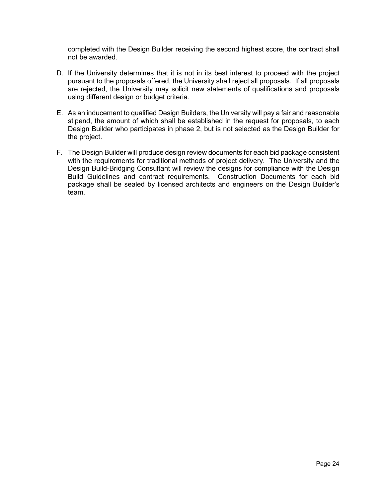completed with the Design Builder receiving the second highest score, the contract shall not be awarded.

- D. If the University determines that it is not in its best interest to proceed with the project pursuant to the proposals offered, the University shall reject all proposals. If all proposals are rejected, the University may solicit new statements of qualifications and proposals using different design or budget criteria.
- E. As an inducement to qualified Design Builders, the University will pay a fair and reasonable stipend, the amount of which shall be established in the request for proposals, to each Design Builder who participates in phase 2, but is not selected as the Design Builder for the project.
- F. The Design Builder will produce design review documents for each bid package consistent with the requirements for traditional methods of project delivery. The University and the Design Build-Bridging Consultant will review the designs for compliance with the Design Build Guidelines and contract requirements. Construction Documents for each bid package shall be sealed by licensed architects and engineers on the Design Builder's team.